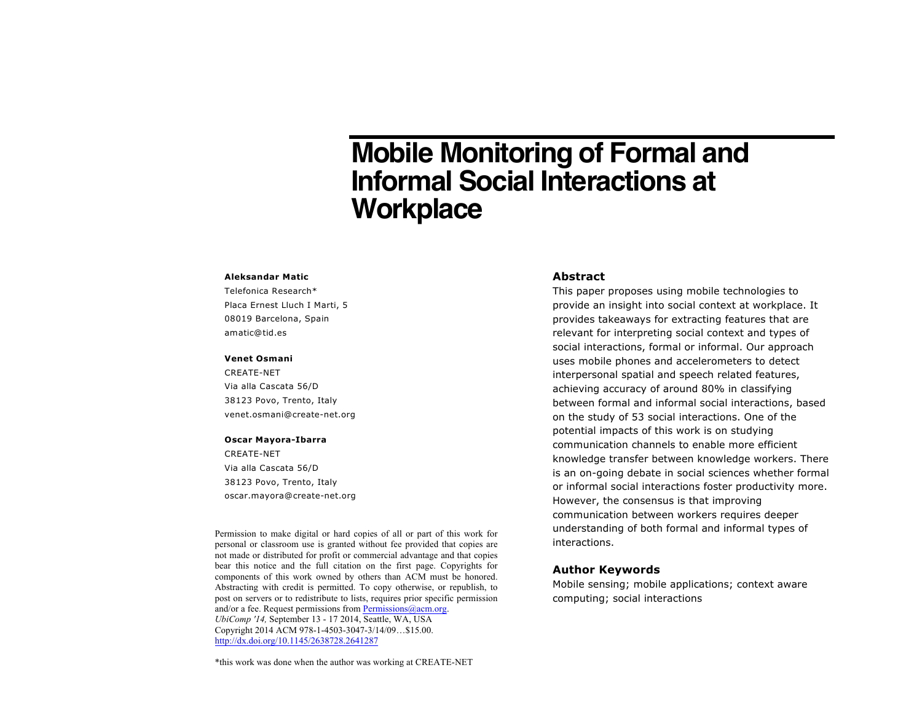# **Mobile Monitoring of Formal and Informal Social Interactions at Workplace**

#### **Aleksandar Matic**

Telefonica Research\* Placa Ernest Lluch I Marti, 5 08019 Barcelona, Spain amatic@tid.es

#### **Venet Osmani**

CREATE-NET Via alla Cascata 56/D 38123 Povo, Trento, Italy venet.osmani@create-net.org

#### **Oscar Mayora-Ibarra**

CREATE-NET Via alla Cascata 56/D 38123 Povo, Trento, Italy oscar.mayora@create-net.org

Permission to make digital or hard copies of all or part of this work for personal or classroom use is granted without fee provided that copies are not made or distributed for profit or commercial advantage and that copies beat this notice and the fun chation on the first page. Copyrights for components of this work owned by others than ACM must be honored. post on servers or to redistribute to lists, requires prior specific permission and/or a fee. Request permissions from **Permissions**@acm.org. Obcomp 14, September 13 - 17 2014, Seattle, w A, OSA<br>Copyright 2014 ACM 978-1-4503-3047-3/14/09...\$15.00. http://dx.doi.org/10.1145/2638728.2641287 bear this notice and the full citation on the first page. Copyrights for Abstracting with credit is permitted. To copy otherwise, or republish, to *UbiComp '14,* September 13 - 17 2014, Seattle, WA, USA

\*this work was done when the author was working at CREATE-NET

## **Abstract**

This paper proposes using mobile technologies to provide an insight into social context at workplace. It provides takeaways for extracting features that are relevant for interpreting social context and types of social interactions, formal or informal. Our approach uses mobile phones and accelerometers to detect interpersonal spatial and speech related features, achieving accuracy of around 80% in classifying between formal and informal social interactions, based on the study of 53 social interactions. One of the potential impacts of this work is on studying communication channels to enable more efficient knowledge transfer between knowledge workers. There is an on-going debate in social sciences whether formal or informal social interactions foster productivity more. However, the consensus is that improving communication between workers requires deeper understanding of both formal and informal types of interactions.

#### **Author Keywords**

Mobile sensing; mobile applications; context aware computing; social interactions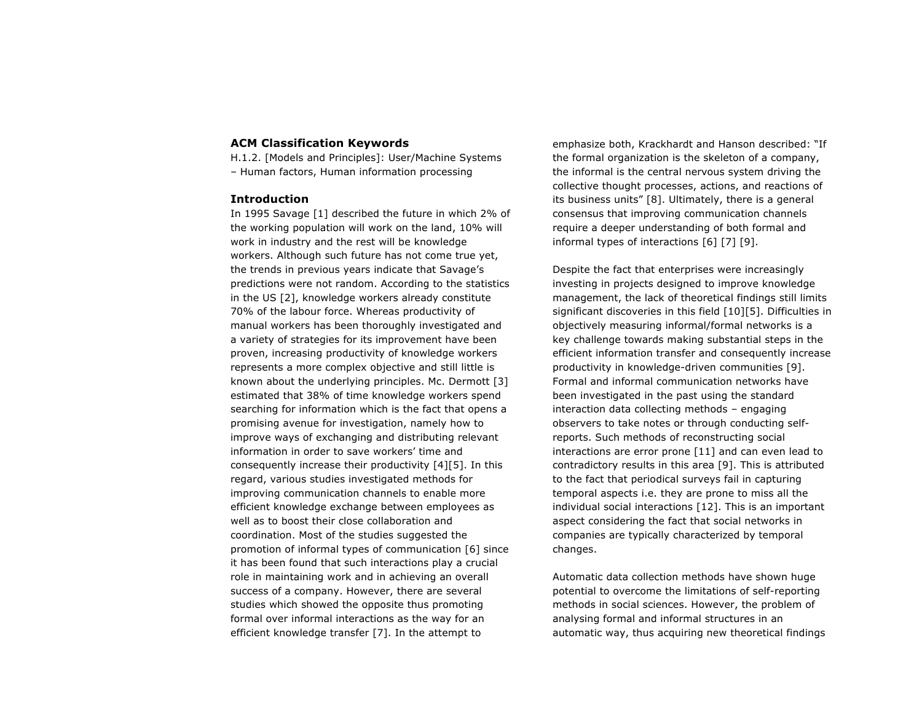## **ACM Classification Keywords**

H.1.2. [Models and Principles]: User/Machine Systems – Human factors, Human information processing

## **Introduction**

In 1995 Savage [1] described the future in which 2% of the working population will work on the land, 10% will work in industry and the rest will be knowledge workers. Although such future has not come true yet, the trends in previous years indicate that Savage's predictions were not random. According to the statistics in the US [2], knowledge workers already constitute 70% of the labour force. Whereas productivity of manual workers has been thoroughly investigated and a variety of strategies for its improvement have been proven, increasing productivity of knowledge workers represents a more complex objective and still little is known about the underlying principles. Mc. Dermott [3] estimated that 38% of time knowledge workers spend searching for information which is the fact that opens a promising avenue for investigation, namely how to improve ways of exchanging and distributing relevant information in order to save workers' time and consequently increase their productivity [4][5]. In this regard, various studies investigated methods for improving communication channels to enable more efficient knowledge exchange between employees as well as to boost their close collaboration and coordination. Most of the studies suggested the promotion of informal types of communication [6] since it has been found that such interactions play a crucial role in maintaining work and in achieving an overall success of a company. However, there are several studies which showed the opposite thus promoting formal over informal interactions as the way for an efficient knowledge transfer [7]. In the attempt to

emphasize both, Krackhardt and Hanson described: "If the formal organization is the skeleton of a company, the informal is the central nervous system driving the collective thought processes, actions, and reactions of its business units" [8]. Ultimately, there is a general consensus that improving communication channels require a deeper understanding of both formal and informal types of interactions [6] [7] [9].

Despite the fact that enterprises were increasingly investing in projects designed to improve knowledge management, the lack of theoretical findings still limits significant discoveries in this field [10][5]. Difficulties in objectively measuring informal/formal networks is a key challenge towards making substantial steps in the efficient information transfer and consequently increase productivity in knowledge-driven communities [9]. Formal and informal communication networks have been investigated in the past using the standard interaction data collecting methods – engaging observers to take notes or through conducting selfreports. Such methods of reconstructing social interactions are error prone [11] and can even lead to contradictory results in this area [9]. This is attributed to the fact that periodical surveys fail in capturing temporal aspects i.e. they are prone to miss all the individual social interactions [12]. This is an important aspect considering the fact that social networks in companies are typically characterized by temporal changes.

Automatic data collection methods have shown huge potential to overcome the limitations of self-reporting methods in social sciences. However, the problem of analysing formal and informal structures in an automatic way, thus acquiring new theoretical findings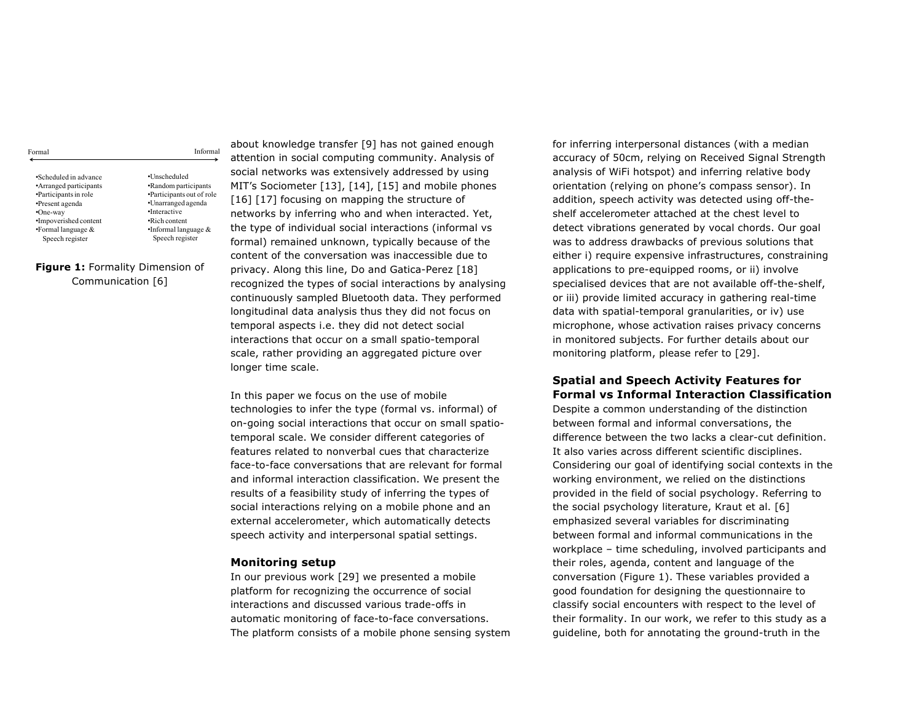| ormal<br>$\cdots$ | c<br>Inform<br>al |
|-------------------|-------------------|
|                   |                   |

•Scheduled in advance •Arranged participants •Participants in role •Present agenda •One-way •Impoverished content •Formal language & Speech register

•Unscheduled •Random participants •Participants out of role •Unarranged agenda •Interactive •Rich content •Informal language & Speech register

**Figure 1:** Formality Dimension of Communication [6]

about knowledge transfer [9] has not gained enough attention in social computing community. Analysis of social networks was extensively addressed by using MIT's Sociometer [13], [14], [15] and mobile phones [16] [17] focusing on mapping the structure of networks by inferring who and when interacted. Yet, the type of individual social interactions (informal vs formal) remained unknown, typically because of the content of the conversation was inaccessible due to privacy. Along this line, Do and Gatica-Perez [18] recognized the types of social interactions by analysing continuously sampled Bluetooth data. They performed longitudinal data analysis thus they did not focus on temporal aspects i.e. they did not detect social interactions that occur on a small spatio-temporal scale, rather providing an aggregated picture over longer time scale.

In this paper we focus on the use of mobile technologies to infer the type (formal vs. informal) of on-going social interactions that occur on small spatiotemporal scale. We consider different categories of features related to nonverbal cues that characterize face-to-face conversations that are relevant for formal and informal interaction classification. We present the results of a feasibility study of inferring the types of social interactions relying on a mobile phone and an external accelerometer, which automatically detects speech activity and interpersonal spatial settings.

## **Monitoring setup**

In our previous work [29] we presented a mobile platform for recognizing the occurrence of social interactions and discussed various trade-offs in automatic monitoring of face-to-face conversations. The platform consists of a mobile phone sensing system

for inferring interpersonal distances (with a median accuracy of 50cm, relying on Received Signal Strength analysis of WiFi hotspot) and inferring relative body orientation (relying on phone's compass sensor). In addition, speech activity was detected using off-theshelf accelerometer attached at the chest level to detect vibrations generated by vocal chords. Our goal was to address drawbacks of previous solutions that either i) require expensive infrastructures, constraining applications to pre-equipped rooms, or ii) involve specialised devices that are not available off-the-shelf, or iii) provide limited accuracy in gathering real-time data with spatial-temporal granularities, or iv) use microphone, whose activation raises privacy concerns in monitored subjects. For further details about our monitoring platform, please refer to [29].

## **Spatial and Speech Activity Features for Formal vs Informal Interaction Classification**

Despite a common understanding of the distinction between formal and informal conversations, the difference between the two lacks a clear-cut definition. It also varies across different scientific disciplines. Considering our goal of identifying social contexts in the working environment, we relied on the distinctions provided in the field of social psychology. Referring to the social psychology literature, Kraut et al. [6] emphasized several variables for discriminating between formal and informal communications in the workplace – time scheduling, involved participants and their roles, agenda, content and language of the conversation (Figure 1). These variables provided a good foundation for designing the questionnaire to classify social encounters with respect to the level of their formality. In our work, we refer to this study as a guideline, both for annotating the ground-truth in the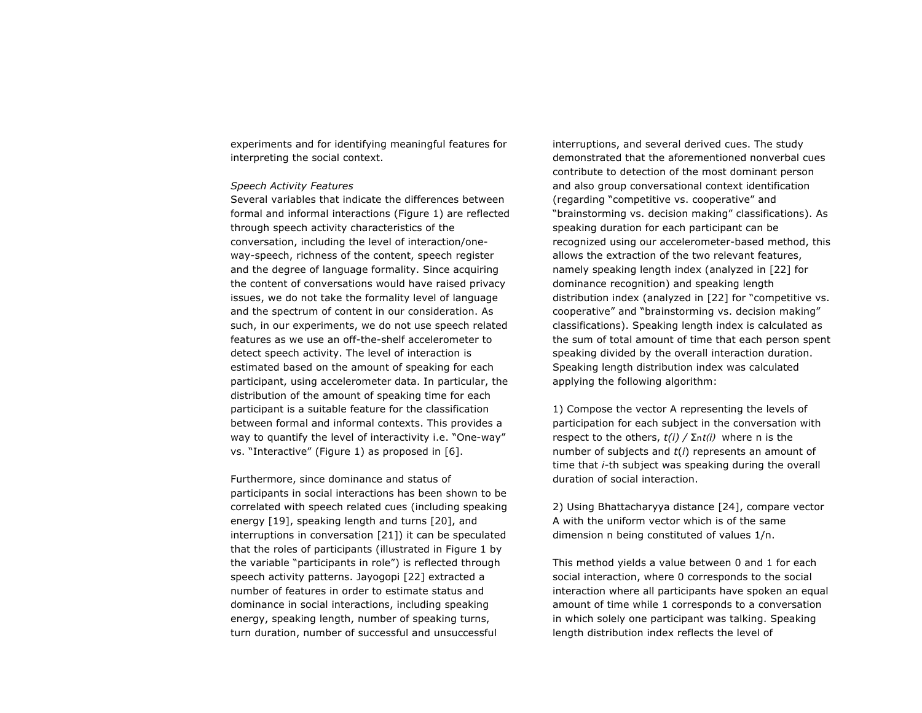experiments and for identifying meaningful features for interpreting the social context.

#### *Speech Activity Features*

Several variables that indicate the differences between formal and informal interactions (Figure 1) are reflected through speech activity characteristics of the conversation, including the level of interaction/oneway-speech, richness of the content, speech register and the degree of language formality. Since acquiring the content of conversations would have raised privacy issues, we do not take the formality level of language and the spectrum of content in our consideration. As such, in our experiments, we do not use speech related features as we use an off-the-shelf accelerometer to detect speech activity. The level of interaction is estimated based on the amount of speaking for each participant, using accelerometer data. In particular, the distribution of the amount of speaking time for each participant is a suitable feature for the classification between formal and informal contexts. This provides a way to quantify the level of interactivity i.e. "One-way" vs. "Interactive" (Figure 1) as proposed in [6].

Furthermore, since dominance and status of participants in social interactions has been shown to be correlated with speech related cues (including speaking energy [19], speaking length and turns [20], and interruptions in conversation [21]) it can be speculated that the roles of participants (illustrated in Figure 1 by the variable "participants in role") is reflected through speech activity patterns. Jayogopi [22] extracted a number of features in order to estimate status and dominance in social interactions, including speaking energy, speaking length, number of speaking turns, turn duration, number of successful and unsuccessful

interruptions, and several derived cues. The study demonstrated that the aforementioned nonverbal cues contribute to detection of the most dominant person and also group conversational context identification (regarding "competitive vs. cooperative" and "brainstorming vs. decision making" classifications). As speaking duration for each participant can be recognized using our accelerometer-based method, this allows the extraction of the two relevant features, namely speaking length index (analyzed in [22] for dominance recognition) and speaking length distribution index (analyzed in [22] for "competitive vs. cooperative" and "brainstorming vs. decision making" classifications). Speaking length index is calculated as the sum of total amount of time that each person spent speaking divided by the overall interaction duration. Speaking length distribution index was calculated applying the following algorithm:

1) Compose the vector A representing the levels of participation for each subject in the conversation with respect to the others, *t(i) /* Σnt(i) where n is the number of subjects and *t*(*i*) represents an amount of time that *i-*th subject was speaking during the overall duration of social interaction.

2) Using Bhattacharyya distance [24], compare vector A with the uniform vector which is of the same dimension n being constituted of values 1/n.

This method yields a value between 0 and 1 for each social interaction, where 0 corresponds to the social interaction where all participants have spoken an equal amount of time while 1 corresponds to a conversation in which solely one participant was talking. Speaking length distribution index reflects the level of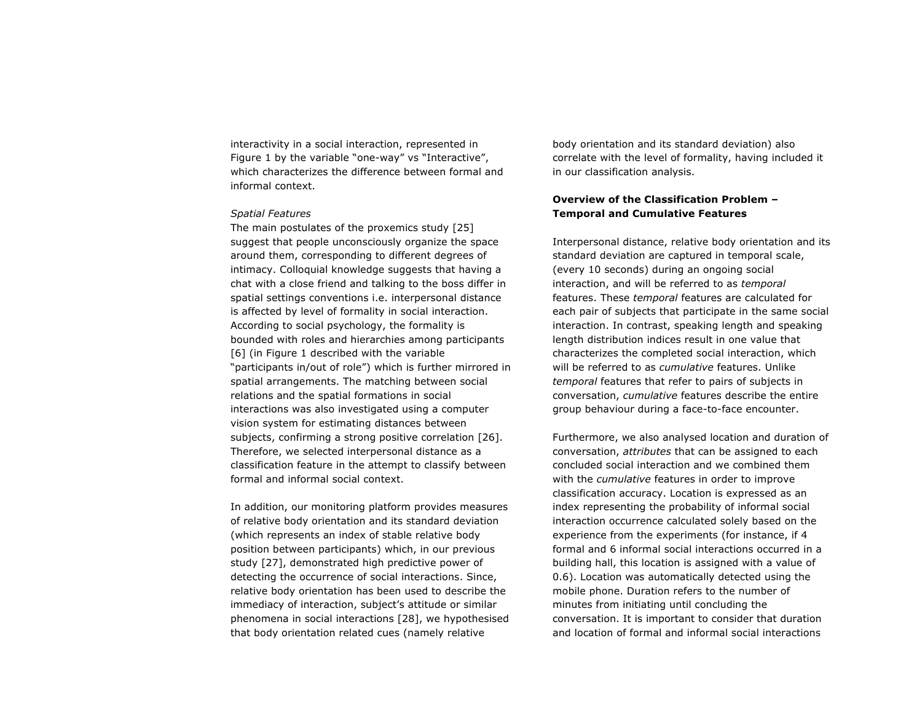interactivity in a social interaction, represented in Figure 1 by the variable "one-way" vs "Interactive", which characterizes the difference between formal and informal context.

#### *Spatial Features*

The main postulates of the proxemics study [25] suggest that people unconsciously organize the space around them, corresponding to different degrees of intimacy. Colloquial knowledge suggests that having a chat with a close friend and talking to the boss differ in spatial settings conventions i.e. interpersonal distance is affected by level of formality in social interaction. According to social psychology, the formality is bounded with roles and hierarchies among participants [6] (in Figure 1 described with the variable "participants in/out of role") which is further mirrored in spatial arrangements. The matching between social relations and the spatial formations in social interactions was also investigated using a computer vision system for estimating distances between subjects, confirming a strong positive correlation [26]. Therefore, we selected interpersonal distance as a classification feature in the attempt to classify between formal and informal social context.

In addition, our monitoring platform provides measures of relative body orientation and its standard deviation (which represents an index of stable relative body position between participants) which, in our previous study [27], demonstrated high predictive power of detecting the occurrence of social interactions. Since, relative body orientation has been used to describe the immediacy of interaction, subject's attitude or similar phenomena in social interactions [28], we hypothesised that body orientation related cues (namely relative

body orientation and its standard deviation) also correlate with the level of formality, having included it in our classification analysis.

# **Overview of the Classification Problem – Temporal and Cumulative Features**

Interpersonal distance, relative body orientation and its standard deviation are captured in temporal scale, (every 10 seconds) during an ongoing social interaction, and will be referred to as *temporal*  features. These *temporal* features are calculated for each pair of subjects that participate in the same social interaction. In contrast, speaking length and speaking length distribution indices result in one value that characterizes the completed social interaction, which will be referred to as *cumulative* features. Unlike *temporal* features that refer to pairs of subjects in conversation, *cumulative* features describe the entire group behaviour during a face-to-face encounter.

Furthermore, we also analysed location and duration of conversation, *attributes* that can be assigned to each concluded social interaction and we combined them with the *cumulative* features in order to improve classification accuracy. Location is expressed as an index representing the probability of informal social interaction occurrence calculated solely based on the experience from the experiments (for instance, if 4 formal and 6 informal social interactions occurred in a building hall, this location is assigned with a value of 0.6). Location was automatically detected using the mobile phone. Duration refers to the number of minutes from initiating until concluding the conversation. It is important to consider that duration and location of formal and informal social interactions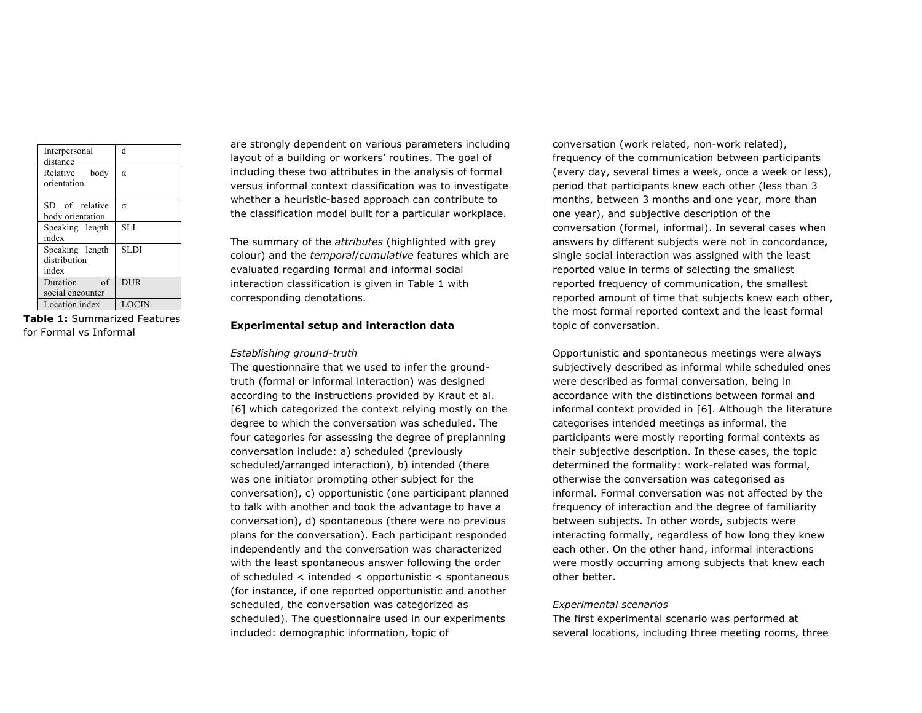| Interpersonal<br>distance                  | d            |
|--------------------------------------------|--------------|
| Relative body<br>orientation               | $\alpha$     |
| SD of relative<br>body orientation         | $\sigma$     |
| Speaking length<br>index                   | <b>SLI</b>   |
| Speaking length<br>distribution<br>index   | SL DI        |
| Duration<br>$\alpha$ f<br>social encounter | <b>DUR</b>   |
| Location index                             | <b>LOCIN</b> |

**Table 1:** Summarized Features for Formal vs Informal

are strongly dependent on various parameters including layout of a building or workers' routines. The goal of including these two attributes in the analysis of formal versus informal context classification was to investigate whether a heuristic-based approach can contribute to the classification model built for a particular workplace.

The summary of the *attributes* (highlighted with grey colour) and the *temporal*/*cumulative* features which are evaluated regarding formal and informal social interaction classification is given in Table 1 with corresponding denotations.

#### **Experimental setup and interaction data**

#### *Establishing ground-truth*

The questionnaire that we used to infer the groundtruth (formal or informal interaction) was designed according to the instructions provided by Kraut et al. [6] which categorized the context relying mostly on the degree to which the conversation was scheduled. The four categories for assessing the degree of preplanning conversation include: a) scheduled (previously scheduled/arranged interaction), b) intended (there was one initiator prompting other subject for the conversation), c) opportunistic (one participant planned to talk with another and took the advantage to have a conversation), d) spontaneous (there were no previous plans for the conversation). Each participant responded independently and the conversation was characterized with the least spontaneous answer following the order of scheduled < intended < opportunistic < spontaneous (for instance, if one reported opportunistic and another scheduled, the conversation was categorized as scheduled). The questionnaire used in our experiments included: demographic information, topic of

conversation (work related, non-work related), frequency of the communication between participants (every day, several times a week, once a week or less), period that participants knew each other (less than 3 months, between 3 months and one year, more than one year), and subjective description of the conversation (formal, informal). In several cases when answers by different subjects were not in concordance, single social interaction was assigned with the least reported value in terms of selecting the smallest reported frequency of communication, the smallest reported amount of time that subjects knew each other, the most formal reported context and the least formal topic of conversation.

Opportunistic and spontaneous meetings were always subjectively described as informal while scheduled ones were described as formal conversation, being in accordance with the distinctions between formal and informal context provided in [6]. Although the literature categorises intended meetings as informal, the participants were mostly reporting formal contexts as their subjective description. In these cases, the topic determined the formality: work-related was formal, otherwise the conversation was categorised as informal. Formal conversation was not affected by the frequency of interaction and the degree of familiarity between subjects. In other words, subjects were interacting formally, regardless of how long they knew each other. On the other hand, informal interactions were mostly occurring among subjects that knew each other better.

#### *Experimental scenarios*

The first experimental scenario was performed at several locations, including three meeting rooms, three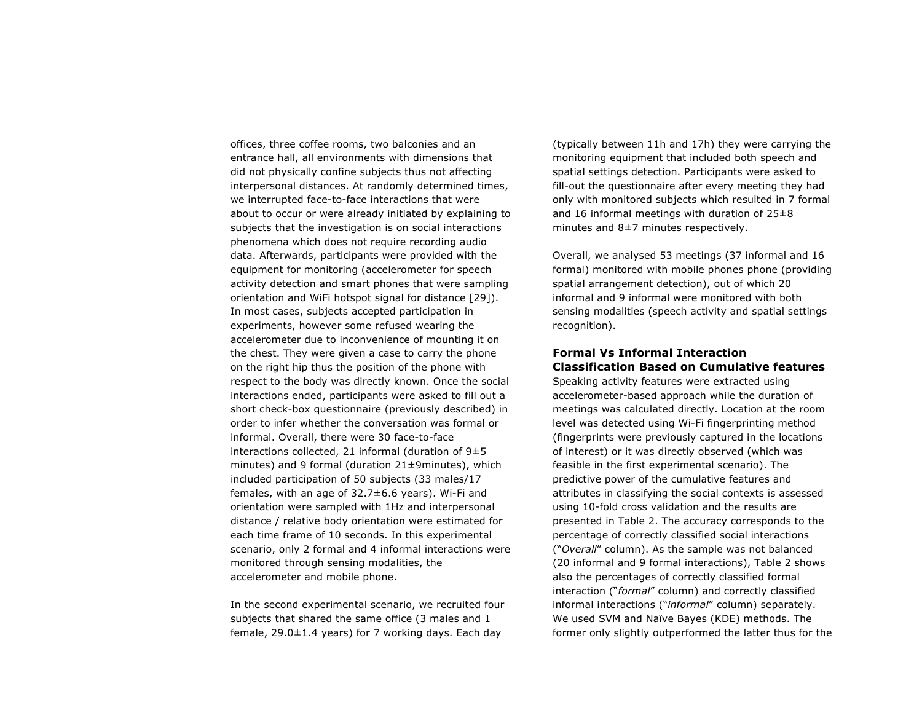offices, three coffee rooms, two balconies and an entrance hall, all environments with dimensions that did not physically confine subjects thus not affecting interpersonal distances. At randomly determined times, we interrupted face-to-face interactions that were about to occur or were already initiated by explaining to subjects that the investigation is on social interactions phenomena which does not require recording audio data. Afterwards, participants were provided with the equipment for monitoring (accelerometer for speech activity detection and smart phones that were sampling orientation and WiFi hotspot signal for distance [29]). In most cases, subjects accepted participation in experiments, however some refused wearing the accelerometer due to inconvenience of mounting it on the chest. They were given a case to carry the phone on the right hip thus the position of the phone with respect to the body was directly known. Once the social interactions ended, participants were asked to fill out a short check-box questionnaire (previously described) in order to infer whether the conversation was formal or informal. Overall, there were 30 face-to-face interactions collected, 21 informal (duration of 9±5 minutes) and 9 formal (duration 21±9minutes), which included participation of 50 subjects (33 males/17 females, with an age of 32.7±6.6 years). Wi-Fi and orientation were sampled with 1Hz and interpersonal distance / relative body orientation were estimated for each time frame of 10 seconds. In this experimental scenario, only 2 formal and 4 informal interactions were monitored through sensing modalities, the accelerometer and mobile phone.

In the second experimental scenario, we recruited four subjects that shared the same office (3 males and 1 female,  $29.0 \pm 1.4$  years) for 7 working days. Each day

(typically between 11h and 17h) they were carrying the monitoring equipment that included both speech and spatial settings detection. Participants were asked to fill-out the questionnaire after every meeting they had only with monitored subjects which resulted in 7 formal and 16 informal meetings with duration of 25±8 minutes and 8±7 minutes respectively.

Overall, we analysed 53 meetings (37 informal and 16 formal) monitored with mobile phones phone (providing spatial arrangement detection), out of which 20 informal and 9 informal were monitored with both sensing modalities (speech activity and spatial settings recognition).

## **Formal Vs Informal Interaction Classification Based on Cumulative features**

Speaking activity features were extracted using accelerometer-based approach while the duration of meetings was calculated directly. Location at the room level was detected using Wi-Fi fingerprinting method (fingerprints were previously captured in the locations of interest) or it was directly observed (which was feasible in the first experimental scenario). The predictive power of the cumulative features and attributes in classifying the social contexts is assessed using 10-fold cross validation and the results are presented in Table 2. The accuracy corresponds to the percentage of correctly classified social interactions ("*Overall*" column). As the sample was not balanced (20 informal and 9 formal interactions), Table 2 shows also the percentages of correctly classified formal interaction ("*formal*" column) and correctly classified informal interactions ("*informal*" column) separately. We used SVM and Naïve Bayes (KDE) methods. The former only slightly outperformed the latter thus for the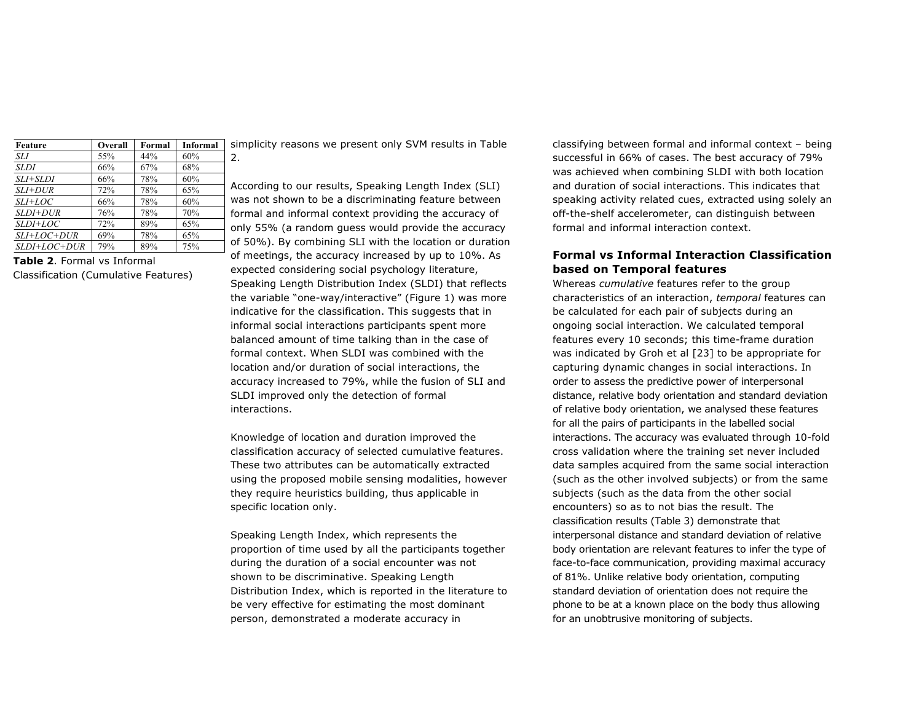| Feature         | Overall | Formal | <b>Informal</b> | S              |
|-----------------|---------|--------|-----------------|----------------|
| SLI             | 55%     | 44%    | 60%             | $\overline{2}$ |
| <b>SLDI</b>     | 66%     | 67%    | 68%             |                |
| SLI+SLDI        | 66%     | 78%    | 60%             |                |
| $SLI+DUR$       | 72%     | 78%    | 65%             | А              |
| $SLI+LOC$       | 66%     | 78%    | 60%             | W              |
| $SLDI+DUR$      | 76%     | 78%    | 70%             | f              |
| <i>SLDI+LOC</i> | 72%     | 89%    | 65%             | $\Omega$       |
| $SLI+LOC+DUR$   | 69%     | 78%    | 65%             |                |
| $SLDI+LOC+DUR$  | 79%     | 89%    | 75%             | O              |

**Table 2**. Formal vs Informal Classification (Cumulative Features)

simplicity reasons we present only SVM results in Table 2.

According to our results, Speaking Length Index (SLI) was not shown to be a discriminating feature between ormal and informal context providing the accuracy of nly 55% (a random guess would provide the accuracy of 50%). By combining SLI with the location or duration of meetings, the accuracy increased by up to 10%. As expected considering social psychology literature, Speaking Length Distribution Index (SLDI) that reflects the variable "one-way/interactive" (Figure 1) was more indicative for the classification. This suggests that in informal social interactions participants spent more balanced amount of time talking than in the case of formal context. When SLDI was combined with the location and/or duration of social interactions, the accuracy increased to 79%, while the fusion of SLI and SLDI improved only the detection of formal interactions.

Knowledge of location and duration improved the classification accuracy of selected cumulative features. These two attributes can be automatically extracted using the proposed mobile sensing modalities, however they require heuristics building, thus applicable in specific location only.

Speaking Length Index, which represents the proportion of time used by all the participants together during the duration of a social encounter was not shown to be discriminative. Speaking Length Distribution Index, which is reported in the literature to be very effective for estimating the most dominant person, demonstrated a moderate accuracy in

classifying between formal and informal context – being successful in 66% of cases. The best accuracy of 79% was achieved when combining SLDI with both location and duration of social interactions. This indicates that speaking activity related cues, extracted using solely an off-the-shelf accelerometer, can distinguish between formal and informal interaction context.

# **Formal vs Informal Interaction Classification based on Temporal features**

Whereas *cumulative* features refer to the group characteristics of an interaction, *temporal* features can be calculated for each pair of subjects during an ongoing social interaction. We calculated temporal features every 10 seconds; this time-frame duration was indicated by Groh et al [23] to be appropriate for capturing dynamic changes in social interactions. In order to assess the predictive power of interpersonal distance, relative body orientation and standard deviation of relative body orientation, we analysed these features for all the pairs of participants in the labelled social interactions. The accuracy was evaluated through 10-fold cross validation where the training set never included data samples acquired from the same social interaction (such as the other involved subjects) or from the same subjects (such as the data from the other social encounters) so as to not bias the result. The classification results (Table 3) demonstrate that interpersonal distance and standard deviation of relative body orientation are relevant features to infer the type of face-to-face communication, providing maximal accuracy of 81%. Unlike relative body orientation, computing standard deviation of orientation does not require the phone to be at a known place on the body thus allowing for an unobtrusive monitoring of subjects.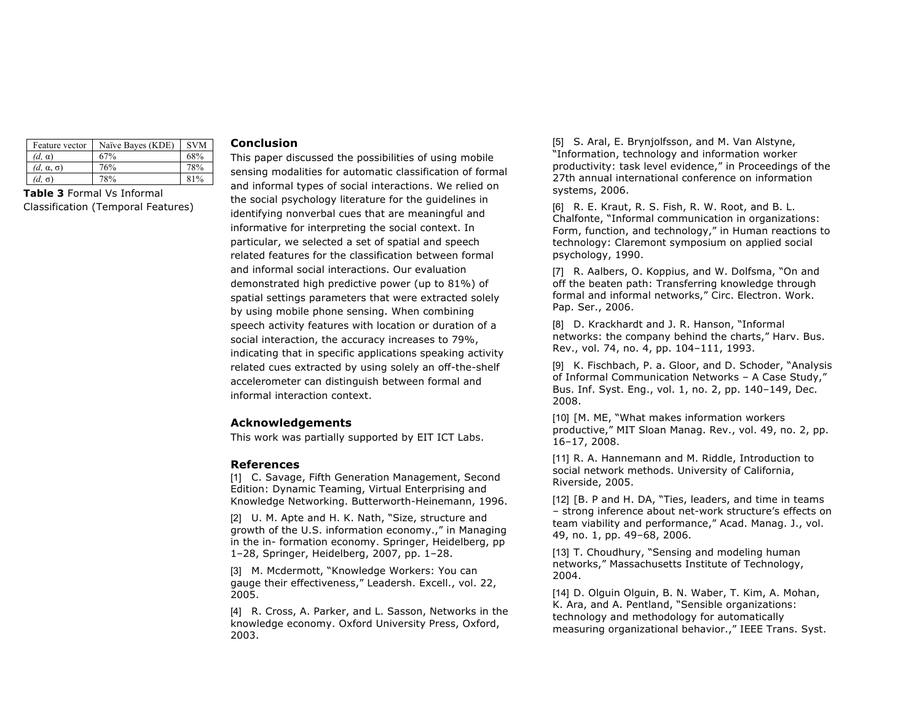| Feature vector        | Naïve Bayes (KDE) | <b>SVM</b> |
|-----------------------|-------------------|------------|
| $(d, \alpha)$         | 67%               | 68%        |
| $(d, \alpha, \sigma)$ | 76%               | 78%        |
| (d, σ)                | 78%               | 81%        |

**Table 3** Formal Vs Informal Classification (Temporal Features)

## **Conclusion**

This paper discussed the possibilities of using mobile sensing modalities for automatic classification of formal and informal types of social interactions. We relied on the social psychology literature for the guidelines in identifying nonverbal cues that are meaningful and informative for interpreting the social context. In particular, we selected a set of spatial and speech related features for the classification between formal and informal social interactions. Our evaluation demonstrated high predictive power (up to 81%) of spatial settings parameters that were extracted solely by using mobile phone sensing. When combining speech activity features with location or duration of a social interaction, the accuracy increases to 79%, indicating that in specific applications speaking activity related cues extracted by using solely an off-the-shelf accelerometer can distinguish between formal and informal interaction context.

## **Acknowledgements**

This work was partially supported by EIT ICT Labs.

#### **References**

[1] C. Savage, Fifth Generation Management, Second Edition: Dynamic Teaming, Virtual Enterprising and Knowledge Networking. Butterworth-Heinemann, 1996.

[2] U. M. Apte and H. K. Nath, "Size, structure and growth of the U.S. information economy.," in Managing in the in- formation economy. Springer, Heidelberg, pp 1–28, Springer, Heidelberg, 2007, pp. 1–28.

[3] M. Mcdermott, "Knowledge Workers: You can gauge their effectiveness," Leadersh. Excell., vol. 22, 2005.

[4] R. Cross, A. Parker, and L. Sasson, Networks in the knowledge economy. Oxford University Press, Oxford, 2003.

[5] S. Aral, E. Brynjolfsson, and M. Van Alstyne, "Information, technology and information worker productivity: task level evidence," in Proceedings of the 27th annual international conference on information systems, 2006.

[6] R. E. Kraut, R. S. Fish, R. W. Root, and B. L. Chalfonte, "Informal communication in organizations: Form, function, and technology," in Human reactions to technology: Claremont symposium on applied social psychology, 1990.

[7] R. Aalbers, O. Koppius, and W. Dolfsma, "On and off the beaten path: Transferring knowledge through formal and informal networks," Circ. Electron. Work. Pap. Ser., 2006.

[8] D. Krackhardt and J. R. Hanson, "Informal networks: the company behind the charts," Harv. Bus. Rev., vol. 74, no. 4, pp. 104–111, 1993.

[9] K. Fischbach, P. a. Gloor, and D. Schoder, "Analysis of Informal Communication Networks – A Case Study," Bus. Inf. Syst. Eng., vol. 1, no. 2, pp. 140–149, Dec. 2008.

[10] [M. ME, "What makes information workers productive," MIT Sloan Manag. Rev., vol. 49, no. 2, pp. 16–17, 2008.

[11] R. A. Hannemann and M. Riddle, Introduction to social network methods. University of California, Riverside, 2005.

[12] [B. P and H. DA, "Ties, leaders, and time in teams – strong inference about net-work structure's effects on team viability and performance," Acad. Manag. J., vol. 49, no. 1, pp. 49–68, 2006.

[13] T. Choudhury, "Sensing and modeling human networks," Massachusetts Institute of Technology, 2004.

[14] D. Olguin Olguin, B. N. Waber, T. Kim, A. Mohan, K. Ara, and A. Pentland, "Sensible organizations: technology and methodology for automatically measuring organizational behavior.," IEEE Trans. Syst.